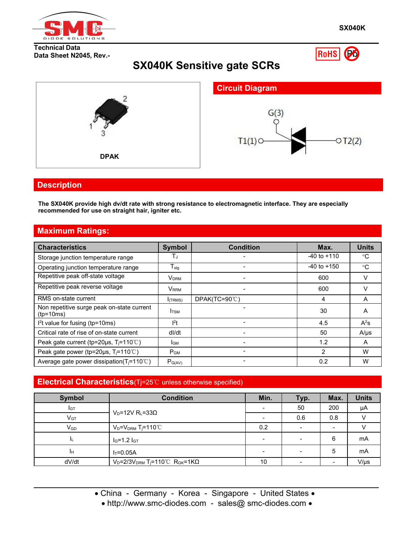

Po

RoHS

#### **Technical Data Data Sheet N2045, Rev.-**

# **SX040K Sensitive gate SCRs**



### **Description**

**The SX040K provide high dv/dt rate with strong resistance to electromagnetic interface. They are especially recommended for use on straight hair,igniter etc.**

# **Maximum Ratings:**

| <b>Characteristics</b>                                    | Symbol           | <b>Condition</b>         | Max.            | <b>Units</b> |
|-----------------------------------------------------------|------------------|--------------------------|-----------------|--------------|
| Storage junction temperature range                        | ТJ               |                          | $-40$ to $+110$ | $^{\circ}$ C |
| Operating junction temperature range                      | $T_{\text{stg}}$ |                          | $-40$ to $+150$ | $^{\circ}$ C |
| Repetitive peak off-state voltage                         | V <sub>DRM</sub> | $\overline{\phantom{a}}$ | 600             |              |
| Repetitive peak reverse voltage                           | V <sub>RRM</sub> |                          | 600             | V            |
| RMS on-state current                                      | $I$ (TRMS)       | $DPAK(TC=90^{\circ}C)$   | 4               | A            |
| Non repetitive surge peak on-state current<br>$(tp=10ms)$ | I <sub>TSM</sub> |                          | 30              | A            |
| $l2t$ value for fusing (tp=10ms)                          | 1 <sup>2</sup> t |                          | 4.5             | $A^2s$       |
| Critical rate of rise of on-state current                 | dl/dt            |                          | 50              | $A/\mu s$    |
| Peak gate current (tp=20µs, $T_i$ =110°C)                 | I <sub>GM</sub>  |                          | 1.2             | A            |
| Peak gate power (tp=20 $\mu$ s, T <sub>i</sub> =110°C)    | $P_{GM}$         |                          | 2               | W            |
| Average gate power dissipation( $T_i = 110^{\circ}$ C)    | $P_{G(AV)}$      |                          | 0.2             | W            |

### **Electrical Characteristics**(Tj=25℃ unless otherwise specified)

| <b>Symbol</b>   | <b>Condition</b>                                                    | Min. | Typ.                     | Max.                     | <b>Units</b> |
|-----------------|---------------------------------------------------------------------|------|--------------------------|--------------------------|--------------|
| IGT             |                                                                     |      | 50                       | 200                      | μA           |
| V <sub>GT</sub> | $V_D = 12V R_L = 33\Omega$                                          |      | 0.6                      | 0.8                      |              |
| $V_{GD}$        | $V_D = V_{DRM}$ T <sub>i</sub> =110 $\degree$ C                     | 0.2  |                          |                          |              |
| ΙL.             | $I_G=1.2 I_{GT}$                                                    |      | $\overline{\phantom{a}}$ | 6                        | mA           |
| Iн              | $I_T = 0.05A$                                                       |      | $\overline{\phantom{a}}$ | 5                        | mA           |
| dV/dt           | $V_D=2/3V_{DRM}$ T <sub>j</sub> =110°C R <sub>GK</sub> =1K $\Omega$ | 10   | $\overline{\phantom{0}}$ | $\overline{\phantom{0}}$ | $V/\mu s$    |

• China - Germany - Korea - Singapore - United States •

• http://www.smc-diodes.com - sales@ smc-diodes.com •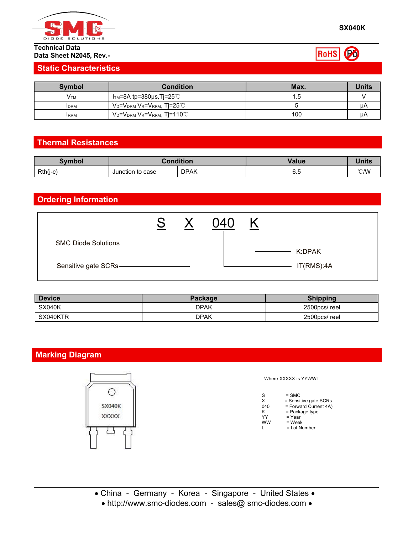

#### **Technical Data Data Sheet N2045, Rev.-**

### **Static Characteristics**

| Symbol          | <b>Condition</b>                                         | Max. | <b>Units</b> |
|-----------------|----------------------------------------------------------|------|--------------|
| V <sub>TM</sub> | $ITM=8A$ tp=380µs,Tj=25 $°C$                             | . ၁  |              |
| <b>IDRM</b>     | $V_D$ = $V_{DRM}$ $V_R$ = $V_{RRM}$ , Tj=25 $^{\circ}$ C |      | μA           |
| <b>IRRM</b>     | $V_D = V_{DRM} V_R = V_{RRM}$ , Tj=110 $^{\circ}$ C      | 100  | ЦA           |

# **Thermal Resistances**

| Svmbol     |                  | <b>Pondition</b> | Value | <b>Units</b> |
|------------|------------------|------------------|-------|--------------|
| $Rth(j-c)$ | Junction to case | <b>DPAK</b>      | v.v   | °C/W         |

# **Ordering Information**



| Device        | Package     | <b>Shipping</b> |
|---------------|-------------|-----------------|
| <b>SX040K</b> | <b>DPAK</b> | 2500pcs/reel    |
| SX040KTR      | <b>DPAK</b> | 2500pcs/reel    |

# **Marking Diagram**



Where XXXXX is YYWWL

| S   | $=$ SMC               |  |
|-----|-----------------------|--|
| x   | = Sensitive gate SCRs |  |
| 040 | = Forward Current 4A) |  |
| Κ   | $=$ Package type      |  |
| YY  | = Year                |  |
| ww  | = Week                |  |
| L   | = Lot Number          |  |
|     |                       |  |

• http://www.smc-diodes.com - sales@ smc-diodes.com •

ROHS **B**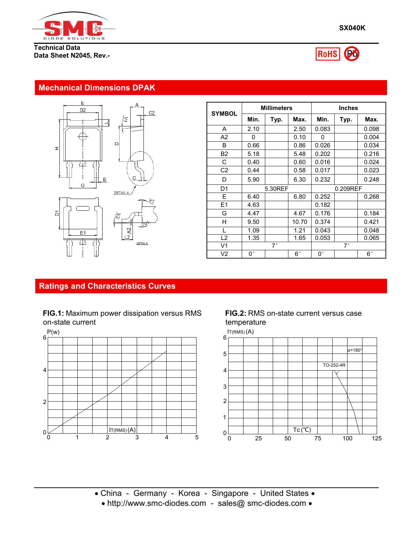

**Technical Data Data Sheet N2045, Rev.-**





### **Mechanical Dimensions DPAK**



| <b>SYMBOL</b>  |             | <b>Millimeters</b> |             |              | <b>Inches</b> |             |  |
|----------------|-------------|--------------------|-------------|--------------|---------------|-------------|--|
|                | Min.        | Typ.               | Max.        | Min.         | Typ.          | Max.        |  |
| A              | 2.10        |                    | 2.50        | 0.083        |               | 0.098       |  |
| A <sub>2</sub> | 0           |                    | 0.10        | $\mathbf{0}$ |               | 0.004       |  |
| B              | 0.66        |                    | 0.86        | 0.026        |               | 0.034       |  |
| <b>B2</b>      | 5.18        |                    | 5.48        | 0.202        |               | 0.216       |  |
| C              | 0.40        |                    | 0.60        | 0.016        |               | 0.024       |  |
| C <sub>2</sub> | 0.44        |                    | 0.58        | 0.017        |               | 0.023       |  |
| D              | 5.90        |                    | 6.30        | 0.232        |               | 0.248       |  |
| D <sub>1</sub> |             | 5.30REF            |             |              | 0.209REF      |             |  |
| E              | 6.40        |                    | 6.80        | 0.252        |               | 0.268       |  |
| E1             | 4.63        |                    |             | 0.182        |               |             |  |
| G              | 4.47        |                    | 4.67        | 0.176        |               | 0.184       |  |
| H              | 9.50        |                    | 10.70       | 0.374        |               | 0.421       |  |
|                | 1.09        |                    | 1.21        | 0.043        |               | 0.048       |  |
| L2             | 1.35        |                    | 1.65        | 0.053        |               | 0.065       |  |
| V <sub>1</sub> |             | $7^\circ$          |             |              | $7^{\circ}$   |             |  |
| V <sub>2</sub> | $0^{\circ}$ |                    | $6^{\circ}$ | $0^{\circ}$  |               | $6^{\circ}$ |  |

## **Ratings and Characteristics Curves**

### **FIG.1:** Maximum power dissipation versus RMS on-state current



**FIG.2:** RMS on-state current versus case temperature



• China - Germany - Korea - Singapore - United States • • http://www.smc-diodes.com - sales@ smc-diodes.com • Tjera 400 metals 1990 metals 1990 metals 1990 metals 1990 metals 1990 metals 1990 metals 1990 metals 1990 met<br>Timax 400 metals 1990 metals 1990 metals 1990 metals 1990 metals 1990 metals 1990 metals 1990 metals 1990 met<br>Ti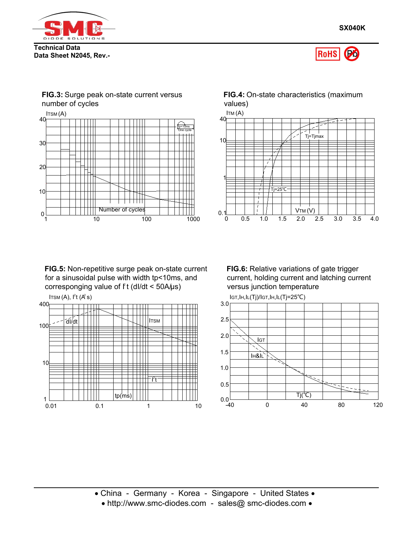





**FIG.5:** Non-repetitive surge peak on-state current for a sinusoidal pulse with width tp<10ms, and corresponging value of f t (dl/dt < 50A/μs) versus junction temperature

ITSM  $(A)$ ,  $l^2t (A<sup>2</sup> s)$ 





**FIG.6:** Relative variations of gate trigger current, holding current and latching current versus junction temperature